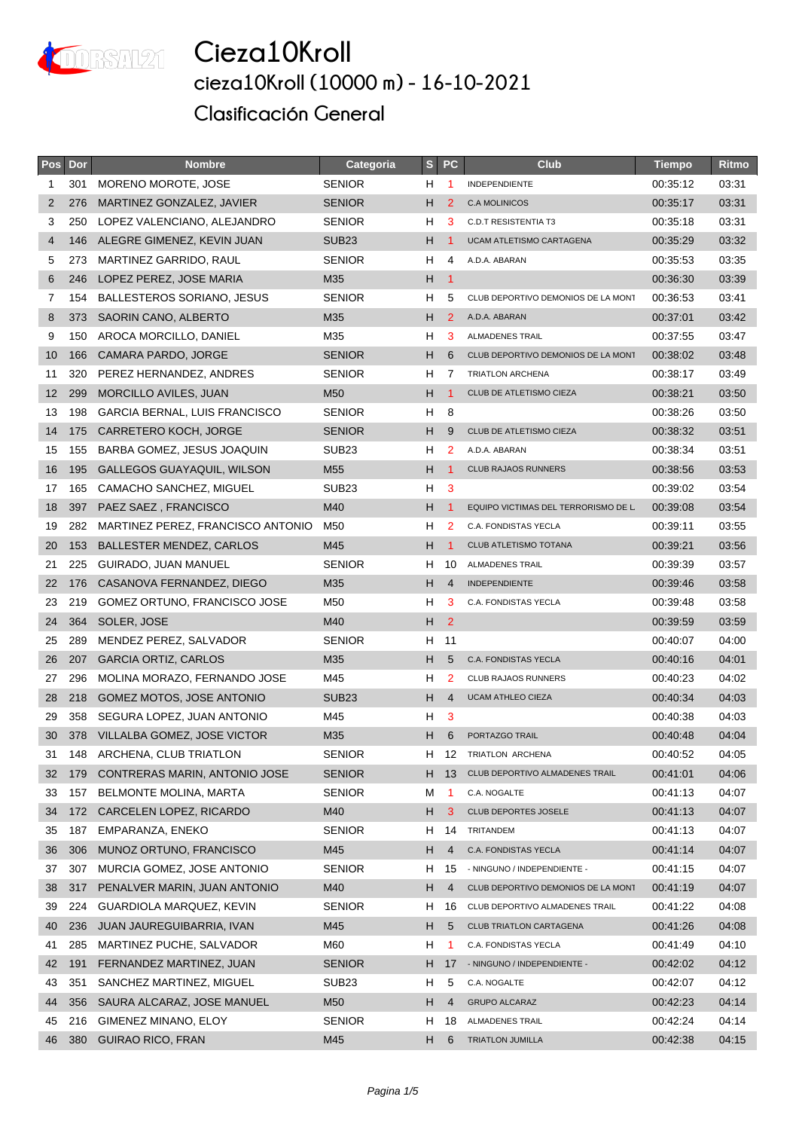

| Pos            | Dor | <b>Nombre</b>                     | Categoria         |    | S PC           | <b>Club</b>                         | <b>Tiempo</b> | Ritmo |
|----------------|-----|-----------------------------------|-------------------|----|----------------|-------------------------------------|---------------|-------|
| 1              | 301 | MORENO MOROTE, JOSE               | <b>SENIOR</b>     | H  | $\overline{1}$ | INDEPENDIENTE                       | 00:35:12      | 03:31 |
| 2              | 276 | MARTINEZ GONZALEZ, JAVIER         | <b>SENIOR</b>     | H. | 2              | <b>C.A MOLINICOS</b>                | 00:35:17      | 03:31 |
| 3              | 250 | LOPEZ VALENCIANO, ALEJANDRO       | <b>SENIOR</b>     | H  | 3              | <b>C.D.T RESISTENTIA T3</b>         | 00:35:18      | 03:31 |
| $\overline{4}$ | 146 | ALEGRE GIMENEZ, KEVIN JUAN        | SUB <sub>23</sub> | H. | $\overline{1}$ | UCAM ATLETISMO CARTAGENA            | 00:35:29      | 03:32 |
| 5              | 273 | MARTINEZ GARRIDO, RAUL            | <b>SENIOR</b>     | H  | 4              | A.D.A. ABARAN                       | 00:35:53      | 03:35 |
| 6              | 246 | LOPEZ PEREZ, JOSE MARIA           | M35               | H. | $\overline{1}$ |                                     | 00:36:30      | 03:39 |
| 7              | 154 | <b>BALLESTEROS SORIANO, JESUS</b> | <b>SENIOR</b>     | H  | 5              | CLUB DEPORTIVO DEMONIOS DE LA MONT  | 00:36:53      | 03:41 |
| 8              | 373 | SAORIN CANO, ALBERTO              | M35               | H. | 2              | A.D.A. ABARAN                       | 00:37:01      | 03:42 |
| 9              | 150 | AROCA MORCILLO, DANIEL            | M35               | H  | 3              | <b>ALMADENES TRAIL</b>              | 00:37:55      | 03:47 |
| 10             | 166 | CAMARA PARDO, JORGE               | <b>SENIOR</b>     | H. | 6              | CLUB DEPORTIVO DEMONIOS DE LA MONT  | 00:38:02      | 03:48 |
| 11             | 320 | PEREZ HERNANDEZ, ANDRES           | <b>SENIOR</b>     | H  | 7              | <b>TRIATLON ARCHENA</b>             | 00:38:17      | 03:49 |
| 12             | 299 | MORCILLO AVILES, JUAN             | M <sub>50</sub>   | H  | -1             | CLUB DE ATLETISMO CIEZA             | 00:38:21      | 03:50 |
| 13             | 198 | GARCIA BERNAL, LUIS FRANCISCO     | <b>SENIOR</b>     | H  | 8              |                                     | 00:38:26      | 03:50 |
| 14             | 175 | <b>CARRETERO KOCH, JORGE</b>      | <b>SENIOR</b>     | H. | 9              | CLUB DE ATLETISMO CIEZA             | 00:38:32      | 03:51 |
| 15             | 155 | BARBA GOMEZ, JESUS JOAQUIN        | SUB <sub>23</sub> | H. | 2              | A.D.A. ABARAN                       | 00:38:34      | 03:51 |
| 16             | 195 | GALLEGOS GUAYAQUIL, WILSON        | M <sub>55</sub>   | H. | $\overline{1}$ | <b>CLUB RAJAOS RUNNERS</b>          | 00:38:56      | 03:53 |
| 17             | 165 | CAMACHO SANCHEZ, MIGUEL           | SUB <sub>23</sub> | H  | - 3            |                                     | 00:39:02      | 03:54 |
| 18             | 397 | PAEZ SAEZ, FRANCISCO              | M40               | H. | $\overline{1}$ | EQUIPO VICTIMAS DEL TERRORISMO DE L | 00:39:08      | 03:54 |
| 19             | 282 | MARTINEZ PEREZ, FRANCISCO ANTONIO | M50               | H. | 2              | C.A. FONDISTAS YECLA                | 00:39:11      | 03:55 |
| 20             | 153 | <b>BALLESTER MENDEZ, CARLOS</b>   | M45               | H  | $\overline{1}$ | CLUB ATLETISMO TOTANA               | 00:39:21      | 03:56 |
| 21             | 225 | GUIRADO, JUAN MANUEL              | <b>SENIOR</b>     | H. | 10             | ALMADENES TRAIL                     | 00:39:39      | 03:57 |
| 22             | 176 | CASANOVA FERNANDEZ, DIEGO         | M35               | H. | $\overline{4}$ | <b>INDEPENDIENTE</b>                | 00:39:46      | 03:58 |
| 23             | 219 | GOMEZ ORTUNO, FRANCISCO JOSE      | M50               | H. | 3              | C.A. FONDISTAS YECLA                | 00:39:48      | 03:58 |
| 24             | 364 | SOLER, JOSE                       | M40               | H. | $\overline{2}$ |                                     | 00:39:59      | 03:59 |
| 25             | 289 | MENDEZ PEREZ, SALVADOR            | <b>SENIOR</b>     |    | H 11           |                                     | 00:40:07      | 04:00 |
| 26             | 207 | <b>GARCIA ORTIZ, CARLOS</b>       | M35               | H. | 5              | C.A. FONDISTAS YECLA                | 00:40:16      | 04:01 |
| 27             | 296 | MOLINA MORAZO, FERNANDO JOSE      | M45               | H  | 2              | CLUB RAJAOS RUNNERS                 | 00:40:23      | 04:02 |
| 28             | 218 | <b>GOMEZ MOTOS, JOSE ANTONIO</b>  | SUB <sub>23</sub> | H. | $\overline{4}$ | <b>UCAM ATHLEO CIEZA</b>            | 00:40:34      | 04:03 |
| 29             | 358 | SEGURA LOPEZ, JUAN ANTONIO        | M45               | H. | -3             |                                     | 00:40:38      | 04:03 |
| 30             |     | 378 VILLALBA GOMEZ, JOSE VICTOR   | M35               | H. | 6              | PORTAZGO TRAIL                      | 00:40:48      | 04:04 |
| 31             |     | 148 ARCHENA, CLUB TRIATLON        | <b>SENIOR</b>     | H. |                | 12 TRIATLON ARCHENA                 | 00:40:52      | 04:05 |
| 32             | 179 | CONTRERAS MARIN, ANTONIO JOSE     | SENIOR            | Н. | 13             | CLUB DEPORTIVO ALMADENES TRAIL      | 00:41:01      | 04:06 |
| 33             | 157 | BELMONTE MOLINA, MARTA            | <b>SENIOR</b>     | M  | -1             | C.A. NOGALTE                        | 00:41:13      | 04:07 |
| 34             | 172 | CARCELEN LOPEZ, RICARDO           | M40               | H. | 3              | CLUB DEPORTES JOSELE                | 00:41:13      | 04:07 |
| 35             | 187 | EMPARANZA, ENEKO                  | <b>SENIOR</b>     | H. | 14             | TRITANDEM                           | 00:41:13      | 04:07 |
| 36             | 306 | MUNOZ ORTUNO, FRANCISCO           | M45               | H. | 4              | C.A. FONDISTAS YECLA                | 00:41:14      | 04:07 |
| 37             | 307 | MURCIA GOMEZ, JOSE ANTONIO        | <b>SENIOR</b>     | H. | 15             | - NINGUNO / INDEPENDIENTE -         | 00:41:15      | 04:07 |
| 38             | 317 | PENALVER MARIN, JUAN ANTONIO      | M40               | Н. | 4              | CLUB DEPORTIVO DEMONIOS DE LA MONT  | 00:41:19      | 04:07 |
| 39             | 224 | GUARDIOLA MARQUEZ, KEVIN          | <b>SENIOR</b>     | H. | 16             | CLUB DEPORTIVO ALMADENES TRAIL      | 00:41:22      | 04:08 |
| 40             | 236 | JUAN JAUREGUIBARRIA, IVAN         | M45               | Н. | 5              | <b>CLUB TRIATLON CARTAGENA</b>      | 00:41:26      | 04:08 |
| 41             | 285 | MARTINEZ PUCHE, SALVADOR          | M60               | H  | -1             | C.A. FONDISTAS YECLA                | 00:41:49      | 04:10 |
| 42             | 191 | FERNANDEZ MARTINEZ, JUAN          | <b>SENIOR</b>     | H  | 17             | - NINGUNO / INDEPENDIENTE -         | 00:42:02      | 04:12 |
| 43             | 351 | SANCHEZ MARTINEZ, MIGUEL          | SUB <sub>23</sub> | Н. | 5              | C.A. NOGALTE                        | 00:42:07      | 04:12 |
| 44             | 356 | SAURA ALCARAZ, JOSE MANUEL        | M50               | H. | 4              | <b>GRUPO ALCARAZ</b>                | 00:42:23      | 04:14 |
| 45             | 216 | GIMENEZ MINANO, ELOY              | <b>SENIOR</b>     | H. | 18             | ALMADENES TRAIL                     | 00:42:24      | 04:14 |
| 46             | 380 | <b>GUIRAO RICO, FRAN</b>          | M45               | H. | 6              | <b>TRIATLON JUMILLA</b>             | 00:42:38      | 04:15 |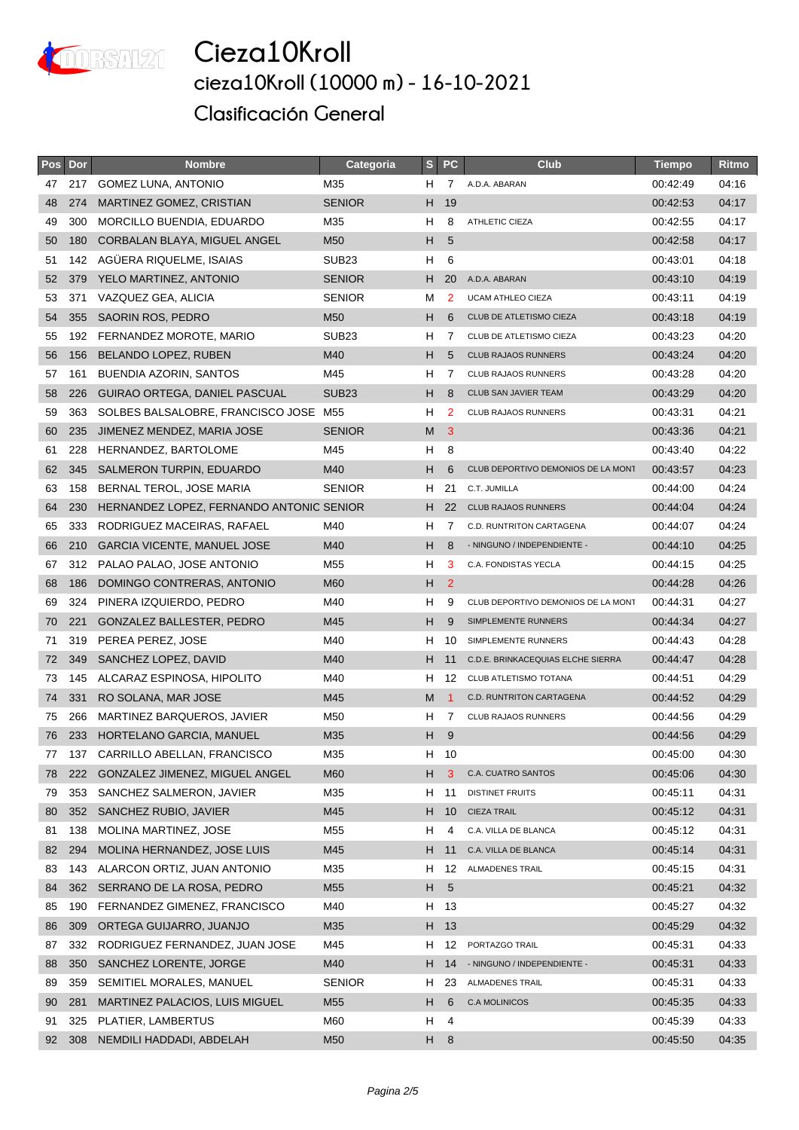

| <b>Pos</b> | Dor | <b>Nombre</b>                            | Categoria         | S  | <b>PC</b>       | <b>Club</b>                        | <b>Tiempo</b> | Ritmo |
|------------|-----|------------------------------------------|-------------------|----|-----------------|------------------------------------|---------------|-------|
| 47         |     | 217 GOMEZ LUNA, ANTONIO                  | M35               | H. | $\overline{7}$  | A.D.A. ABARAN                      | 00:42:49      | 04:16 |
| 48         | 274 | MARTINEZ GOMEZ, CRISTIAN                 | <b>SENIOR</b>     | H. | 19              |                                    | 00:42:53      | 04:17 |
| 49         | 300 | MORCILLO BUENDIA, EDUARDO                | M35               | H  | 8               | <b>ATHLETIC CIEZA</b>              | 00:42:55      | 04:17 |
| 50         | 180 | CORBALAN BLAYA, MIGUEL ANGEL             | M <sub>50</sub>   | H. | 5               |                                    | 00:42:58      | 04:17 |
| 51         | 142 | AGÜERA RIQUELME, ISAIAS                  | SUB <sub>23</sub> | H  | 6               |                                    | 00:43:01      | 04:18 |
| 52         | 379 | YELO MARTINEZ, ANTONIO                   | <b>SENIOR</b>     | H. | 20              | A.D.A. ABARAN                      | 00:43:10      | 04:19 |
| 53         | 371 | VAZQUEZ GEA, ALICIA                      | <b>SENIOR</b>     | M  | $\overline{2}$  | <b>UCAM ATHLEO CIEZA</b>           | 00:43:11      | 04:19 |
| 54         | 355 | <b>SAORIN ROS, PEDRO</b>                 | M <sub>50</sub>   | н  | 6               | CLUB DE ATLETISMO CIEZA            | 00:43:18      | 04:19 |
| 55         | 192 | FERNANDEZ MOROTE, MARIO                  | SUB <sub>23</sub> | H  | 7               | CLUB DE ATLETISMO CIEZA            | 00:43:23      | 04:20 |
| 56         | 156 | BELANDO LOPEZ, RUBEN                     | M40               | H. | 5               | <b>CLUB RAJAOS RUNNERS</b>         | 00:43:24      | 04:20 |
| 57         | 161 | BUENDIA AZORIN, SANTOS                   | M45               | H  | 7               | CLUB RAJAOS RUNNERS                | 00:43:28      | 04:20 |
| 58         | 226 | GUIRAO ORTEGA, DANIEL PASCUAL            | SUB <sub>23</sub> | H. | 8               | CLUB SAN JAVIER TEAM               | 00:43:29      | 04:20 |
| 59         | 363 | SOLBES BALSALOBRE, FRANCISCO JOSE M55    |                   | H  | 2               | <b>CLUB RAJAOS RUNNERS</b>         | 00:43:31      | 04:21 |
| 60         | 235 | JIMENEZ MENDEZ, MARIA JOSE               | <b>SENIOR</b>     | M  | $\mathbf{3}$    |                                    | 00:43:36      | 04:21 |
| 61         | 228 | HERNANDEZ, BARTOLOME                     | M45               | H  | 8               |                                    | 00:43:40      | 04:22 |
| 62         | 345 | SALMERON TURPIN, EDUARDO                 | M40               | H. | 6               | CLUB DEPORTIVO DEMONIOS DE LA MONT | 00:43:57      | 04:23 |
| 63         | 158 | BERNAL TEROL, JOSE MARIA                 | <b>SENIOR</b>     | H. | 21              | C.T. JUMILLA                       | 00:44:00      | 04:24 |
| 64         | 230 | HERNANDEZ LOPEZ, FERNANDO ANTONIC SENIOR |                   | H. | 22              | <b>CLUB RAJAOS RUNNERS</b>         | 00:44:04      | 04:24 |
| 65         | 333 | RODRIGUEZ MACEIRAS, RAFAEL               | M40               | H  | 7               | C.D. RUNTRITON CARTAGENA           | 00:44:07      | 04:24 |
| 66         | 210 | <b>GARCIA VICENTE, MANUEL JOSE</b>       | M40               | Н. | 8               | - NINGUNO / INDEPENDIENTE -        | 00:44:10      | 04:25 |
| 67         | 312 | PALAO PALAO, JOSE ANTONIO                | M <sub>55</sub>   | H  | 3               | C.A. FONDISTAS YECLA               | 00:44:15      | 04:25 |
| 68         | 186 | DOMINGO CONTRERAS, ANTONIO               | M60               | H  | $\overline{2}$  |                                    | 00:44:28      | 04:26 |
| 69         | 324 | PINERA IZQUIERDO, PEDRO                  | M40               | H. | 9               | CLUB DEPORTIVO DEMONIOS DE LA MONT | 00:44:31      | 04:27 |
| 70         | 221 | <b>GONZALEZ BALLESTER, PEDRO</b>         | M45               | H. | 9               | SIMPLEMENTE RUNNERS                | 00:44:34      | 04:27 |
| 71         | 319 | PEREA PEREZ, JOSE                        | M40               | H  | 10              | SIMPLEMENTE RUNNERS                | 00:44:43      | 04:28 |
| 72         | 349 | SANCHEZ LOPEZ, DAVID                     | M40               | H. | 11              | C.D.E. BRINKACEQUIAS ELCHE SIERRA  | 00:44:47      | 04:28 |
| 73         | 145 | ALCARAZ ESPINOSA, HIPOLITO               | M40               | H. | 12              | <b>CLUB ATLETISMO TOTANA</b>       | 00:44:51      | 04:29 |
| 74         | 331 | RO SOLANA, MAR JOSE                      | M45               | M  | $\overline{1}$  | C.D. RUNTRITON CARTAGENA           | 00:44:52      | 04:29 |
| 75         | 266 | MARTINEZ BARQUEROS, JAVIER               | M50               | H  | 7               | <b>CLUB RAJAOS RUNNERS</b>         | 00:44:56      | 04:29 |
| 76         | 233 | HORTELANO GARCIA, MANUEL                 | M35               | Н. | 9               |                                    | 00:44:56      | 04:29 |
| 77         | 137 | CARRILLO ABELLAN, FRANCISCO              | M35               | Н. | 10              |                                    | 00:45:00      | 04:30 |
| 78         | 222 | GONZALEZ JIMENEZ, MIGUEL ANGEL           | M60               | H. | 3               | C.A. CUATRO SANTOS                 | 00:45:06      | 04:30 |
| 79         | 353 | SANCHEZ SALMERON, JAVIER                 | M35               | H  | 11              | <b>DISTINET FRUITS</b>             | 00:45:11      | 04:31 |
| 80         | 352 | SANCHEZ RUBIO, JAVIER                    | M45               | H. | 10              | <b>CIEZA TRAIL</b>                 | 00:45:12      | 04:31 |
| 81         | 138 | MOLINA MARTINEZ, JOSE                    | M55               | H  | 4               | C.A. VILLA DE BLANCA               | 00:45:12      | 04:31 |
| 82         | 294 | MOLINA HERNANDEZ, JOSE LUIS              | M45               | H. | 11              | C.A. VILLA DE BLANCA               | 00:45:14      | 04:31 |
| 83         | 143 | ALARCON ORTIZ, JUAN ANTONIO              | M35               | H. | 12              | <b>ALMADENES TRAIL</b>             | 00:45:15      | 04:31 |
| 84         | 362 | SERRANO DE LA ROSA, PEDRO                | M <sub>55</sub>   | H  | $5\phantom{.0}$ |                                    | 00:45:21      | 04:32 |
| 85         | 190 | FERNANDEZ GIMENEZ, FRANCISCO             | M40               | H  | 13              |                                    | 00:45:27      | 04:32 |
| 86         | 309 | ORTEGA GUIJARRO, JUANJO                  | M35               | H. | 13              |                                    | 00:45:29      | 04:32 |
| 87         | 332 | RODRIGUEZ FERNANDEZ, JUAN JOSE           | M45               | H  | 12              | PORTAZGO TRAIL                     | 00:45:31      | 04:33 |
| 88         | 350 | SANCHEZ LORENTE, JORGE                   | M40               | Н. | 14              | - NINGUNO / INDEPENDIENTE -        | 00:45:31      | 04:33 |
| 89         | 359 | SEMITIEL MORALES, MANUEL                 | <b>SENIOR</b>     | H. | 23              | ALMADENES TRAIL                    | 00:45:31      | 04:33 |
| 90         | 281 | MARTINEZ PALACIOS, LUIS MIGUEL           | M <sub>55</sub>   | H. | 6               | <b>C.A MOLINICOS</b>               | 00:45:35      | 04:33 |
| 91         | 325 | PLATIER, LAMBERTUS                       | M60               | H  | 4               |                                    | 00:45:39      | 04:33 |
| 92         | 308 | NEMDILI HADDADI, ABDELAH                 | M <sub>50</sub>   | H. | 8               |                                    | 00:45:50      | 04:35 |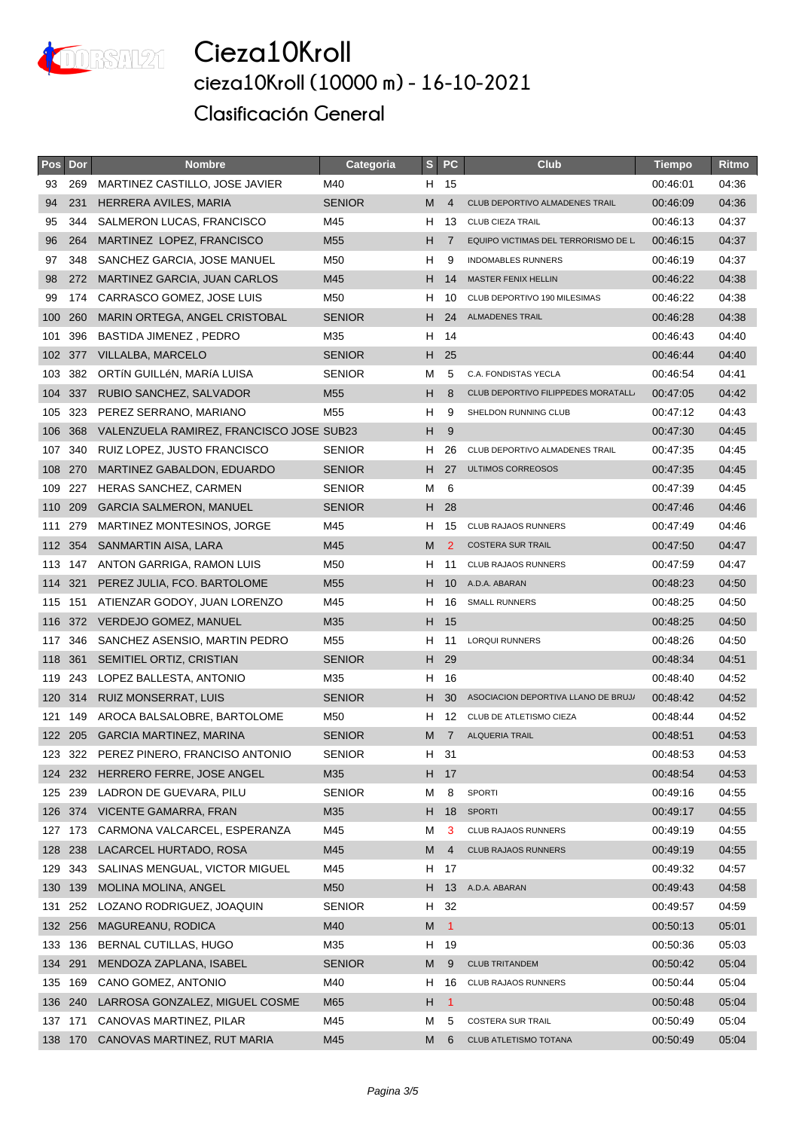

| Pos     | Dor     | <b>Nombre</b>                            | Categoria       | S  | <b>PC</b>      | Club                                | <b>Tiempo</b> | Ritmo |
|---------|---------|------------------------------------------|-----------------|----|----------------|-------------------------------------|---------------|-------|
| 93      | 269     | MARTINEZ CASTILLO, JOSE JAVIER           | M40             |    | H 15           |                                     | 00:46:01      | 04:36 |
| 94      | 231     | HERRERA AVILES, MARIA                    | <b>SENIOR</b>   | M  | $\overline{4}$ | CLUB DEPORTIVO ALMADENES TRAIL      | 00:46:09      | 04:36 |
| 95      | 344     | SALMERON LUCAS, FRANCISCO                | M45             | H. | 13             | CLUB CIEZA TRAIL                    | 00:46:13      | 04:37 |
| 96      | 264     | MARTINEZ LOPEZ, FRANCISCO                | M <sub>55</sub> | H  | 7              | EQUIPO VICTIMAS DEL TERRORISMO DE L | 00:46:15      | 04:37 |
| 97      | 348     | SANCHEZ GARCIA, JOSE MANUEL              | M50             | H  | 9              | INDOMABLES RUNNERS                  | 00:46:19      | 04:37 |
| 98      | 272     | MARTINEZ GARCIA, JUAN CARLOS             | M45             | H. | 14             | MASTER FENIX HELLIN                 | 00:46:22      | 04:38 |
| 99      | 174     | CARRASCO GOMEZ, JOSE LUIS                | M50             | H. | 10             | CLUB DEPORTIVO 190 MILESIMAS        | 00:46:22      | 04:38 |
| 100     | 260     | MARIN ORTEGA, ANGEL CRISTOBAL            | <b>SENIOR</b>   | H  | 24             | <b>ALMADENES TRAIL</b>              | 00:46:28      | 04:38 |
| 101     | 396     | <b>BASTIDA JIMENEZ, PEDRO</b>            | M35             | H  | - 14           |                                     | 00:46:43      | 04:40 |
| 102     | 377     | VILLALBA, MARCELO                        | <b>SENIOR</b>   | H. | 25             |                                     | 00:46:44      | 04:40 |
|         | 103 382 | ORTIN GUILLÉN, MARIA LUISA               | <b>SENIOR</b>   | м  | 5              | C.A. FONDISTAS YECLA                | 00:46:54      | 04:41 |
|         | 104 337 | RUBIO SANCHEZ, SALVADOR                  | M <sub>55</sub> | H. | 8              | CLUB DEPORTIVO FILIPPEDES MORATALL  | 00:47:05      | 04:42 |
| 105     | 323     | PEREZ SERRANO, MARIANO                   | M55             | H. | 9              | SHELDON RUNNING CLUB                | 00:47:12      | 04:43 |
|         | 106 368 | VALENZUELA RAMIREZ, FRANCISCO JOSE SUB23 |                 | H. | 9              |                                     | 00:47:30      | 04:45 |
| 107     | 340     | RUIZ LOPEZ, JUSTO FRANCISCO              | <b>SENIOR</b>   | H  | 26             | CLUB DEPORTIVO ALMADENES TRAIL      | 00:47:35      | 04:45 |
|         | 108 270 | MARTINEZ GABALDON, EDUARDO               | <b>SENIOR</b>   | H. | 27             | ULTIMOS CORREOSOS                   | 00:47:35      | 04:45 |
| 109 227 |         | HERAS SANCHEZ, CARMEN                    | <b>SENIOR</b>   | м  | - 6            |                                     | 00:47:39      | 04:45 |
| 110     | 209     | <b>GARCIA SALMERON, MANUEL</b>           | <b>SENIOR</b>   | H. | 28             |                                     | 00:47:46      | 04:46 |
| 111     | 279     | MARTINEZ MONTESINOS, JORGE               | M45             | н  | 15             | <b>CLUB RAJAOS RUNNERS</b>          | 00:47:49      | 04:46 |
|         | 112 354 | SANMARTIN AISA, LARA                     | M45             | M  | 2              | <b>COSTERA SUR TRAIL</b>            | 00:47:50      | 04:47 |
|         | 113 147 | ANTON GARRIGA, RAMON LUIS                | M50             | H. | 11             | <b>CLUB RAJAOS RUNNERS</b>          | 00:47:59      | 04:47 |
| 114 321 |         | PEREZ JULIA, FCO. BARTOLOME              | M <sub>55</sub> | H. | 10             | A.D.A. ABARAN                       | 00:48:23      | 04:50 |
| 115 151 |         | ATIENZAR GODOY, JUAN LORENZO             | M45             | H  | 16             | <b>SMALL RUNNERS</b>                | 00:48:25      | 04:50 |
| 116     | 372     | VERDEJO GOMEZ, MANUEL                    | M35             | H. | 15             |                                     | 00:48:25      | 04:50 |
| 117     | 346     | SANCHEZ ASENSIO, MARTIN PEDRO            | M55             | H. | 11             | <b>LORQUI RUNNERS</b>               | 00:48:26      | 04:50 |
| 118 361 |         | SEMITIEL ORTIZ, CRISTIAN                 | <b>SENIOR</b>   | H. | 29             |                                     | 00:48:34      | 04:51 |
|         | 119 243 | LOPEZ BALLESTA, ANTONIO                  | M35             | H  | 16             |                                     | 00:48:40      | 04:52 |
|         | 120 314 | RUIZ MONSERRAT, LUIS                     | <b>SENIOR</b>   | H. | 30             | ASOCIACION DEPORTIVA LLANO DE BRUJ/ | 00:48:42      | 04:52 |
| 121     | 149     | AROCA BALSALOBRE, BARTOLOME              | M50             | H. | 12             | CLUB DE ATLETISMO CIEZA             | 00:48:44      | 04:52 |
|         | 122 205 | <b>GARCIA MARTINEZ, MARINA</b>           | <b>SENIOR</b>   | M  | $\overline{7}$ | <b>ALQUERIA TRAIL</b>               | 00:48:51      | 04:53 |
|         | 123 322 | PEREZ PINERO, FRANCISO ANTONIO           | <b>SENIOR</b>   | H. | 31             |                                     | 00:48:53      | 04:53 |
|         |         | 124 232 HERRERO FERRE, JOSE ANGEL        | M35             |    | H 17           |                                     | 00:48:54      | 04:53 |
| 125 239 |         | LADRON DE GUEVARA, PILU                  | <b>SENIOR</b>   | M  | 8              | SPORTI                              | 00:49:16      | 04:55 |
|         |         | 126 374 VICENTE GAMARRA, FRAN            | M35             | H. | 18             | <b>SPORTI</b>                       | 00:49:17      | 04:55 |
|         | 127 173 | CARMONA VALCARCEL, ESPERANZA             | M45             | м  | 3              | CLUB RAJAOS RUNNERS                 | 00:49:19      | 04:55 |
|         | 128 238 | LACARCEL HURTADO, ROSA                   | M45             | M  | $\overline{4}$ | <b>CLUB RAJAOS RUNNERS</b>          | 00:49:19      | 04:55 |
|         | 129 343 | SALINAS MENGUAL, VICTOR MIGUEL           | M45             | H. | 17             |                                     | 00:49:32      | 04:57 |
|         | 130 139 | MOLINA MOLINA, ANGEL                     | M <sub>50</sub> | H. | 13             | A.D.A. ABARAN                       | 00:49:43      | 04:58 |
|         | 131 252 | LOZANO RODRIGUEZ, JOAQUIN                | <b>SENIOR</b>   | H. | 32             |                                     | 00:49:57      | 04:59 |
|         | 132 256 | MAGUREANU, RODICA                        | M40             | M  | $\blacksquare$ |                                     | 00:50:13      | 05:01 |
| 133 136 |         | <b>BERNAL CUTILLAS, HUGO</b>             | M35             | H  | 19             |                                     | 00:50:36      | 05:03 |
| 134 291 |         | MENDOZA ZAPLANA, ISABEL                  | <b>SENIOR</b>   | M  | 9              | <b>CLUB TRITANDEM</b>               | 00:50:42      | 05:04 |
| 135 169 |         | CANO GOMEZ, ANTONIO                      | M40             | H. | 16             | <b>CLUB RAJAOS RUNNERS</b>          | 00:50:44      | 05:04 |
|         | 136 240 | LARROSA GONZALEZ, MIGUEL COSME           | M65             | H  | $\overline{1}$ |                                     | 00:50:48      | 05:04 |
| 137 171 |         | CANOVAS MARTINEZ, PILAR                  | M45             | м  | 5              | <b>COSTERA SUR TRAIL</b>            | 00:50:49      | 05:04 |
|         |         | 138 170 CANOVAS MARTINEZ, RUT MARIA      | M45             | M  | 6              | CLUB ATLETISMO TOTANA               | 00:50:49      | 05:04 |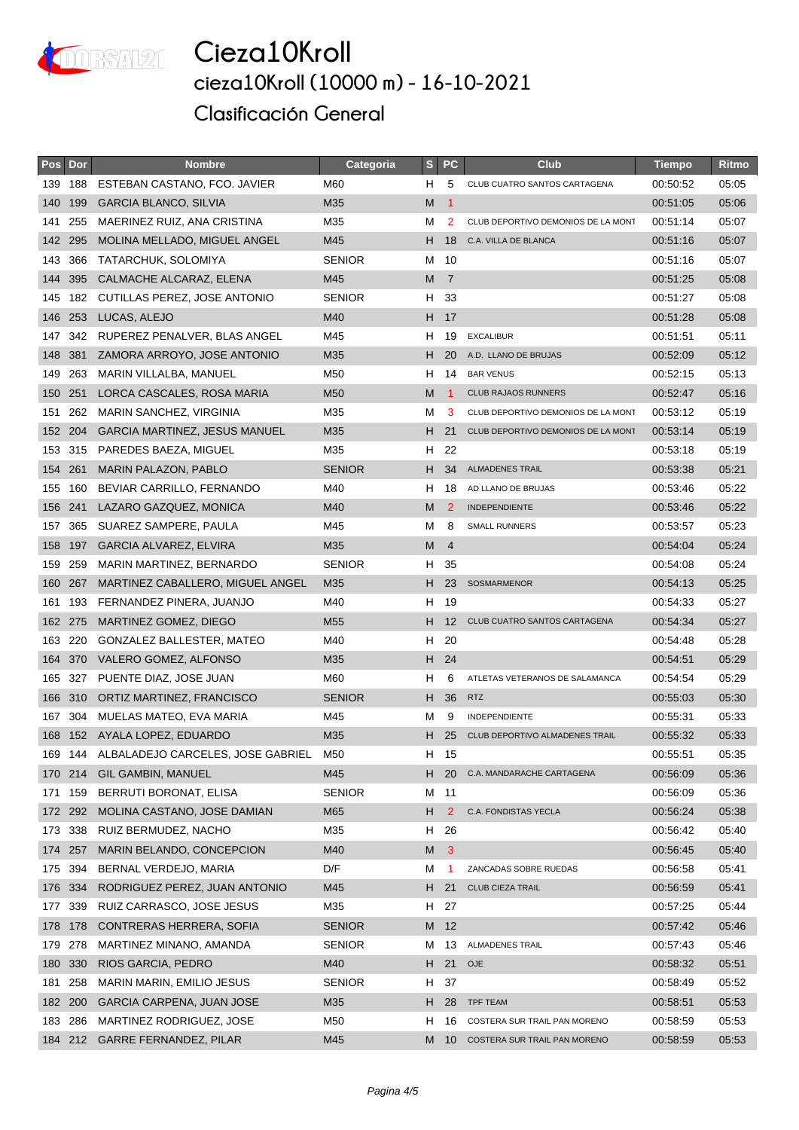

| Pos | Dor     | <b>Nombre</b>                             | Categoria       | S  | <b>PC</b>      | Club                               | <b>Tiempo</b> | Ritmo |
|-----|---------|-------------------------------------------|-----------------|----|----------------|------------------------------------|---------------|-------|
| 139 | 188     | ESTEBAN CASTANO, FCO. JAVIER              | M60             | H. | 5              | CLUB CUATRO SANTOS CARTAGENA       | 00:50:52      | 05:05 |
| 140 | 199     | <b>GARCIA BLANCO, SILVIA</b>              | M35             | M  | $\overline{1}$ |                                    | 00:51:05      | 05:06 |
| 141 | 255     | MAERINEZ RUIZ, ANA CRISTINA               | M35             | м  | 2              | CLUB DEPORTIVO DEMONIOS DE LA MONT | 00:51:14      | 05:07 |
|     | 142 295 | MOLINA MELLADO, MIGUEL ANGEL              | M45             | H  | 18             | C.A. VILLA DE BLANCA               | 00:51:16      | 05:07 |
|     | 143 366 | TATARCHUK, SOLOMIYA                       | <b>SENIOR</b>   | М  | 10             |                                    | 00:51:16      | 05:07 |
|     | 144 395 | CALMACHE ALCARAZ, ELENA                   | M45             |    | M <sub>7</sub> |                                    | 00:51:25      | 05:08 |
| 145 | 182     | CUTILLAS PEREZ, JOSE ANTONIO              | <b>SENIOR</b>   | H. | 33             |                                    | 00:51:27      | 05:08 |
| 146 | 253     | LUCAS, ALEJO                              | M40             | H. | 17             |                                    | 00:51:28      | 05:08 |
|     | 147 342 | RUPEREZ PENALVER, BLAS ANGEL              | M45             | H  | 19             | <b>EXCALIBUR</b>                   | 00:51:51      | 05:11 |
| 148 | 381     | ZAMORA ARROYO, JOSE ANTONIO               | M35             | H. | 20             | A.D. LLANO DE BRUJAS               | 00:52:09      | 05:12 |
|     | 149 263 | MARIN VILLALBA, MANUEL                    | M50             | H. | 14             | <b>BAR VENUS</b>                   | 00:52:15      | 05:13 |
|     | 150 251 | LORCA CASCALES, ROSA MARIA                | M <sub>50</sub> | M  | $\overline{1}$ | <b>CLUB RAJAOS RUNNERS</b>         | 00:52:47      | 05:16 |
| 151 | 262     | MARIN SANCHEZ, VIRGINIA                   | M35             | м  | 3              | CLUB DEPORTIVO DEMONIOS DE LA MONT | 00:53:12      | 05:19 |
|     | 152 204 | GARCIA MARTINEZ, JESUS MANUEL             | M35             | H. | 21             | CLUB DEPORTIVO DEMONIOS DE LA MONT | 00:53:14      | 05:19 |
| 153 | 315     | PAREDES BAEZA, MIGUEL                     | M35             | H  | 22             |                                    | 00:53:18      | 05:19 |
|     | 154 261 | <b>MARIN PALAZON, PABLO</b>               | <b>SENIOR</b>   | H. | 34             | <b>ALMADENES TRAIL</b>             | 00:53:38      | 05:21 |
|     | 155 160 | BEVIAR CARRILLO, FERNANDO                 | M40             | H. | 18             | AD LLANO DE BRUJAS                 | 00:53:46      | 05:22 |
| 156 | 241     | LAZARO GAZQUEZ, MONICA                    | M40             | M  | $\overline{2}$ | <b>INDEPENDIENTE</b>               | 00:53:46      | 05:22 |
| 157 | 365     | SUAREZ SAMPERE, PAULA                     | M45             | M  | 8              | <b>SMALL RUNNERS</b>               | 00:53:57      | 05:23 |
| 158 | 197     | <b>GARCIA ALVAREZ, ELVIRA</b>             | M35             | M  | $\overline{4}$ |                                    | 00:54:04      | 05:24 |
| 159 | 259     | MARIN MARTINEZ, BERNARDO                  | <b>SENIOR</b>   | H. | 35             |                                    | 00:54:08      | 05:24 |
|     | 160 267 | MARTINEZ CABALLERO, MIGUEL ANGEL          | M35             | H. | 23             | SOSMARMENOR                        | 00:54:13      | 05:25 |
| 161 | 193     | FERNANDEZ PINERA, JUANJO                  | M40             | H  | 19             |                                    | 00:54:33      | 05:27 |
| 162 | 275     | MARTINEZ GOMEZ, DIEGO                     | M <sub>55</sub> | н  | 12             | CLUB CUATRO SANTOS CARTAGENA       | 00:54:34      | 05:27 |
|     | 163 220 | GONZALEZ BALLESTER, MATEO                 | M40             | H. | 20             |                                    | 00:54:48      | 05:28 |
|     | 164 370 | VALERO GOMEZ, ALFONSO                     | M35             |    | H 24           |                                    | 00:54:51      | 05:29 |
|     | 165 327 | PUENTE DIAZ, JOSE JUAN                    | M60             | H  | 6              | ATLETAS VETERANOS DE SALAMANCA     | 00:54:54      | 05:29 |
|     | 166 310 | ORTIZ MARTINEZ, FRANCISCO                 | <b>SENIOR</b>   | H. | 36             | <b>RTZ</b>                         | 00:55:03      | 05:30 |
| 167 | 304     | MUELAS MATEO, EVA MARIA                   | M45             | м  | 9              | <b>INDEPENDIENTE</b>               | 00:55:31      | 05:33 |
| 168 |         | 152 AYALA LOPEZ, EDUARDO                  | M35             | H. | 25             | CLUB DEPORTIVO ALMADENES TRAIL     | 00:55:32      | 05:33 |
|     |         | 169 144 ALBALADEJO CARCELES, JOSE GABRIEL | M50             | H. | 15             |                                    | 00:55:51      | 05:35 |
|     | 170 214 | <b>GIL GAMBIN, MANUEL</b>                 | M45             | H. | 20             | C.A. MANDARACHE CARTAGENA          | 00:56:09      | 05:36 |
| 171 | 159     | BERRUTI BORONAT, ELISA                    | <b>SENIOR</b>   | м  | 11             |                                    | 00:56:09      | 05:36 |
|     | 172 292 | MOLINA CASTANO, JOSE DAMIAN               | M65             | H. | $\overline{2}$ | C.A. FONDISTAS YECLA               | 00:56:24      | 05:38 |
|     | 173 338 | RUIZ BERMUDEZ, NACHO                      | M35             | H. | 26             |                                    | 00:56:42      | 05:40 |
|     | 174 257 | MARIN BELANDO, CONCEPCION                 | M40             |    | M <sub>3</sub> |                                    | 00:56:45      | 05:40 |
| 175 | 394     | BERNAL VERDEJO, MARIA                     | D/F             | M  | 1              | ZANCADAS SOBRE RUEDAS              | 00:56:58      | 05:41 |
|     | 176 334 | RODRIGUEZ PEREZ, JUAN ANTONIO             | M45             | н  | 21             | <b>CLUB CIEZA TRAIL</b>            | 00:56:59      | 05:41 |
|     | 177 339 | RUIZ CARRASCO, JOSE JESUS                 | M35             | H. | 27             |                                    | 00:57:25      | 05:44 |
|     | 178 178 | CONTRERAS HERRERA, SOFIA                  | <b>SENIOR</b>   |    | M 12           |                                    | 00:57:42      | 05:46 |
|     | 179 278 | MARTINEZ MINANO, AMANDA                   | <b>SENIOR</b>   | М  | 13             | <b>ALMADENES TRAIL</b>             | 00:57:43      | 05:46 |
|     | 180 330 | RIOS GARCIA, PEDRO                        | M40             | H. | 21             | OJE                                | 00:58:32      | 05:51 |
| 181 | 258     | MARIN MARIN, EMILIO JESUS                 | <b>SENIOR</b>   | H. | 37             |                                    | 00:58:49      | 05:52 |
|     | 182 200 | GARCIA CARPENA, JUAN JOSE                 | M35             | H. | 28             | <b>TPF TEAM</b>                    | 00:58:51      | 05:53 |
| 183 | 286     | MARTINEZ RODRIGUEZ, JOSE                  | M50             | H  | 16             | COSTERA SUR TRAIL PAN MORENO       | 00:58:59      | 05:53 |
|     |         | 184 212 GARRE FERNANDEZ, PILAR            | M45             | M  | 10             | COSTERA SUR TRAIL PAN MORENO       | 00:58:59      | 05:53 |